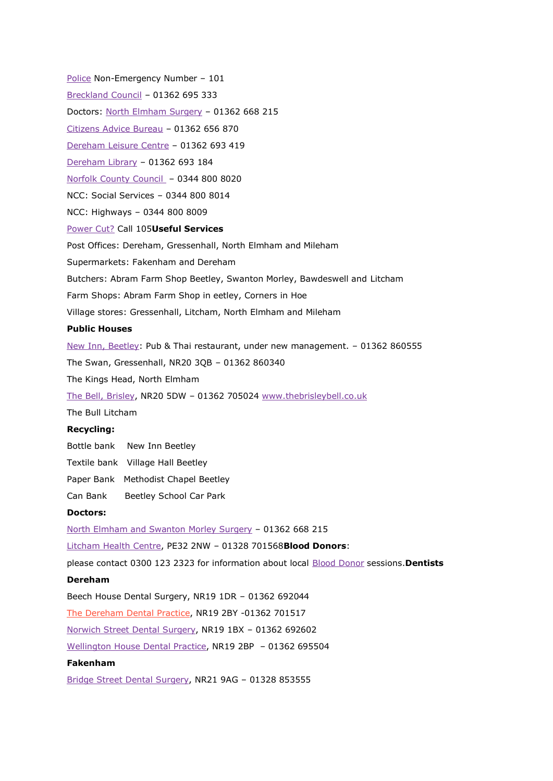[Police](http://beetleypc.norfolkparishes.gov.uk/local-contacts-page/www.norfolk.police.uk) Non-Emergency Number – 101 [Breckland](http://www.breckland.gov.uk/) Council – 01362 695 333 Doctors: North [Elmham](http://beetleypc.norfolkparishes.gov.uk/local-contacts-page/www.elmhamsurgery.com) Surgery – 01362 668 215 [Citizens](http://beetleypc.norfolkparishes.gov.uk/local-contacts-page/www.citizensadvice.org.uk) Advice Bureau – 01362 656 870 [Dereham](http://www.leisurecentre.com/centres/18/home/Dereham-Leisure-Centre.aspx) Leisure Centre – 01362 693 419 [Dereham](http://www.norfolk.gov.uk/Leisure_and_culture/Libraries/Branch_libraries/NCC007487) Library – 01362 693 184 Norfolk County [Council](http://beetleypc.norfolkparishes.gov.uk/local-contacts-page/www.norfolk.gov.uk) – 0344 800 8020 NCC: Social Services – 0344 800 8014 NCC: Highways – 0344 800 8009 [Power](http://www.powercut105.com/) Cut? Call 105**Useful Services** Post Offices: Dereham, Gressenhall, North Elmham and Mileham Supermarkets: Fakenham and Dereham Butchers: Abram Farm Shop Beetley, Swanton Morley, Bawdeswell and Litcham Farm Shops: Abram Farm Shop in eetley, Corners in Hoe Village stores: Gressenhall, Litcham, North Elmham and Mileham **Public Houses** New Inn, [Beetley:](http://www.newinnbeetley.com/) Pub & Thai restaurant, under new management. – 01362 860555 The Swan, Gressenhall, NR20 3QB – 01362 860340 The Kings Head, North Elmham The Bell, [Brisley,](http://www.brisleybell-inn.co.uk/) NR20 5DW – 01362 705024 [www.thebrisleybell.co.uk](http://www.thebrisleybell.co.uk/) The Bull Litcham **Recycling:** Bottle bank New Inn Beetley Textile bank Village Hall Beetley Paper Bank Methodist Chapel Beetley Can Bank Beetley School Car Park **Doctors:** North Elmham and [Swanton](http://beetleypc.norfolkparishes.gov.uk/local-contacts-page/www.elmhamsurgery.com) Morley Surgery – 01362 668 215 [Litcham](http://www.litchamhealthcentre.co.uk/) Health Centre, PE32 2NW – 01328 701568**Blood Donors**: please contact 0300 123 2323 for information about local Blood [Donor](http://www.blood.co.uk/) sessions.**Dentists Dereham** Beech House Dental Surgery, NR19 1DR – 01362 692044 The [Dereham](http://www.thedentalpeople.co.uk/practice/188/home.aspx) Dental Practice, NR19 2BY -01362 701517 Norwich Street Dental [Surgery,](http://www.norwichstreetdentalsurgery.com/) NR19 1BX – 01362 692602 [Wellington](http://www.wellingtonhousedental.co.uk/) House Dental Practice, NR19 2BP – 01362 695504

## **Fakenham**

Bridge Street Dental [Surgery,](http://www.nhs.uk/Services/dentists/Overview/DefaultView.aspx?id=26127) NR21 9AG – 01328 853555